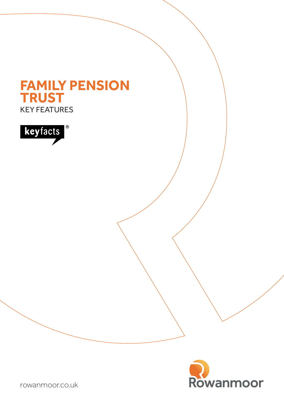# KEY FEATURES **FAMILY PENSION TRUST**





[rowanmoor.co.uk](http://rowanmoorssas.co.uk)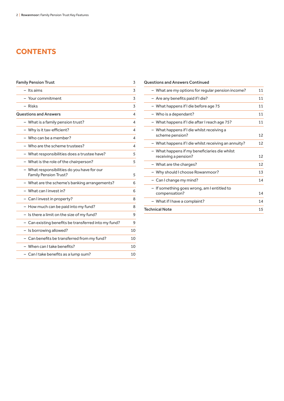# **CONTENTS**

| <b>Family Pension Trust</b>                                                 | 3  |
|-----------------------------------------------------------------------------|----|
| - Its aims                                                                  | 3  |
| - Your commitment                                                           | 3  |
| – Risks                                                                     | 3  |
| <b>Questions and Answers</b>                                                | Δ  |
| - What is a family pension trust?                                           | 4  |
| - Why is it tax-efficient?                                                  | 4  |
| - Who can be a member?                                                      | 4  |
| $-$ Who are the scheme trustees?                                            | 4  |
| - What responsibilities does a trustee have?                                | 5  |
| - What is the role of the chairperson?                                      | 5  |
| - What responsibilities do you have for our<br><b>Family Pension Trust?</b> | 5  |
| - What are the scheme's banking arrangements?                               | 6  |
| - What can Linvest in?                                                      | 6  |
| - Can I invest in property?                                                 | 8  |
| - How much can be paid into my fund?                                        | 8  |
| - Is there a limit on the size of my fund?                                  | 9  |
| - Can existing benefits be transferred into my fund?                        | 9  |
| - Is borrowing allowed?                                                     | 10 |
| - Can benefits be transferred from my fund?                                 | 10 |
| - When can I take benefits?                                                 | 10 |
| - Can I take benefits as a lump sum?                                        | 10 |

#### Questions and Answers Continued

| - What are my options for regular pension income?                     | 11 |
|-----------------------------------------------------------------------|----|
| - Are any benefits paid if I die?                                     | 11 |
| - What happens if I die before age 75                                 | 11 |
| - Who is a dependant?                                                 | 11 |
| - What happens if I die after I reach age 75?                         | 11 |
| - What happens if I die whilst receiving a<br>scheme pension?         | 12 |
| - What happens if I die whilst receiving an annuity?                  | 12 |
| - What happens if my beneficiaries die whilst<br>receiving a pension? | 12 |
| - What are the charges?                                               | 12 |
| - Why should I choose Rowanmoor?                                      | 13 |
| - Can I change my mind?                                               | 14 |
| - If something goes wrong, am I entitled to<br>compensation?          | 14 |
| - What if I have a complaint?                                         | 14 |
| <b>Technical Note</b>                                                 | 15 |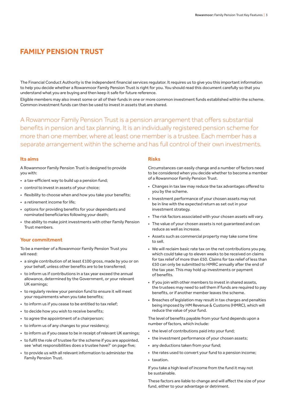# **FAMILY PENSION TRUST**

The Financial Conduct Authority is the independent financial services regulator. It requires us to give you this important information to help you decide whether a Rowanmoor Family Pension Trust is right for you. You should read this document carefully so that you understand what you are buying and then keep it safe for future reference.

Eligible members may also invest some or all of their funds in one or more common investment funds established within the scheme. Common investment funds can then be used to invest in assets that are shared.

A Rowanmoor Family Pension Trust is a pension arrangement that offers substantial benefits in pension and tax planning. It is an individually registered pension scheme for more than one member, where at least one member is a trustee. Each member has a separate arrangement within the scheme and has full control of their own investments.

#### **Its aims**

A Rowanmoor Family Pension Trust is designed to provide you with:

- a tax-efficient way to build up a pension fund;
- control to invest in assets of your choice;
- flexibility to choose when and how you take your benefits;
- a retirement income for life;
- options for providing benefits for your dependants and nominated beneficiaries following your death;
- the ability to make joint investments with other Family Pension Trust members.

#### **Your commitment**

To be a member of a Rowanmoor Family Pension Trust you will need:

- a single contribution of at least £100 gross, made by you or on your behalf, unless other benefits are to be transferred;
- to inform us if contributions in a tax year exceed the annual allowance, determined by the Government, or your relevant UK earnings;
- to regularly review your pension fund to ensure it will meet your requirements when you take benefits;
- to inform us if you cease to be entitled to tax relief;
- to decide how you wish to receive benefits;
- to agree the appointment of a chairperson;
- to inform us of any changes to your residency;
- to inform us if you cease to be in receipt of relevant UK earnings;
- to fulfil the role of trustee for the scheme if you are appointed, see 'what responsibilities does a trustee have?' on page five;
- to provide us with all relevant information to administer the Family Pension Trust.

#### **Risks**

Circumstances can easily change and a number of factors need to be considered when you decide whether to become a member of a Rowanmoor Family Pension Trust.

- Changes in tax law may reduce the tax advantages offered to you by the scheme.
- Investment performance of your chosen assets may not be in line with the expected return as set out in your investment strategy.
- The risk factors associated with your chosen assets will vary.
- The value of your chosen assets is not guaranteed and can reduce as well as increase.
- Assets such as commercial property may take some time to sell.
- We will reclaim basic rate tax on the net contributions you pay, which could take up to eleven weeks to be received on claims for tax relief of more than £50. Claims for tax relief of less than £50 can only be submitted to HMRC annually after the end of the tax year. This may hold up investments or payment of benefits.
- If you join with other members to invest in shared assets, the trustees may need to sell them if funds are required to pay benefits, or if another member leaves the scheme.
- Breaches of legislation may result in tax charges and penalties being imposed by HM Revenue & Customs (HMRC), which will reduce the value of your fund.

The level of benefits payable from your fund depends upon a number of factors, which include:

- the level of contributions paid into your fund;
- the investment performance of your chosen assets;
- any deductions taken from your fund;
- the rates used to convert your fund to a pension income;
- taxation.

If you take a high level of income from the fund it may not be sustainable.

These factors are liable to change and will affect the size of your fund, either to your advantage or detriment.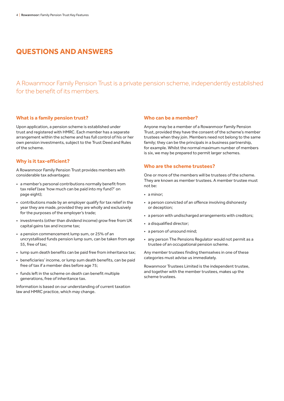### **QUESTIONS AND ANSWERS**

A Rowanmoor Family Pension Trust is a private pension scheme, independently established for the benefit of its members.

#### **What is a family pension trust?**

Upon application, a pension scheme is established under trust and registered with HMRC. Each member has a separate arrangement within the scheme and has full control of his or her own pension investments, subject to the Trust Deed and Rules of the scheme.

#### **Why is it tax-efficient?**

A Rowanmoor Family Pension Trust provides members with considerable tax advantages:

- a member's personal contributions normally benefit from tax relief (see 'how much can be paid into my fund?' on page eight);
- contributions made by an employer qualify for tax relief in the year they are made, provided they are wholly and exclusively for the purposes of the employer's trade;
- investments (other than dividend income) grow free from UK capital gains tax and income tax;
- a pension commencement lump sum, or 25% of an uncrystallised funds pension lump sum, can be taken from age 55, free of tax;
- lump sum death benefits can be paid free from inheritance tax;
- beneficiaries' income, or lump sum death benefits, can be paid free of tax if a member dies before age 75;
- funds left in the scheme on death can benefit multiple generations, free of inheritance tax.

Information is based on our understanding of current taxation law and HMRC practice, which may change.

#### **Who can be a member?**

Anyone may be a member of a Rowanmoor Family Pension Trust, provided they have the consent of the scheme's member trustees when they join. Members need not belong to the same family; they can be the principals in a business partnership, for example. Whilst the normal maximum number of members is six, we may be prepared to permit larger schemes.

#### **Who are the scheme trustees?**

One or more of the members will be trustees of the scheme. They are known as member trustees. A member trustee must not be:

- a minor;
- a person convicted of an offence involving dishonesty or deception;
- a person with undischarged arrangements with creditors;
- a disqualified director;
- a person of unsound mind;
- any person The Pensions Regulator would not permit as a trustee of an occupational pension scheme.

Any member trustees finding themselves in one of these categories must advise us immediately.

Rowanmoor Trustees Limited is the independent trustee, and together with the member trustees, makes up the scheme trustees.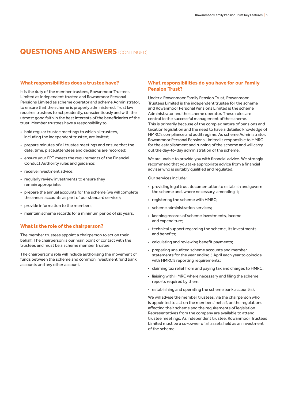#### **What responsibilities does a trustee have?**

It is the duty of the member trustees, Rowanmoor Trustees Limited as independent trustee and Rowanmoor Personal Pensions Limited as scheme operator and scheme Administrator, to ensure that the scheme is properly administered. Trust law requires trustees to act prudently, conscientiously and with the utmost good faith in the best interests of the beneficiaries of the trust. Member trustees have a responsibility to:

- hold regular trustee meetings to which all trustees, including the independent trustee, are invited;
- prepare minutes of all trustee meetings and ensure that the date, time, place,attendees and decisions are recorded;
- ensure your FPT meets the requirements of the Financial Conduct Authority rules and guidance;
- receive investment advice;
- regularly review investments to ensure they remain appropriate;
- prepare the annual accounts for the scheme (we will complete the annual accounts as part of our standard service);
- provide information to the members;
- maintain scheme records for a minimum period of six years.

#### **What is the role of the chairperson?**

The member trustees appoint a chairperson to act on their behalf. The chairperson is our main point of contact with the trustees and must be a scheme member trustee.

The chairperson's role will include authorising the movement of funds between the scheme and common investment fund bank accounts and any other account.

#### **What responsibilities do you have for our Family Pension Trust?**

Under a Rowanmoor Family Pension Trust, Rowanmoor Trustees Limited is the independent trustee for the scheme and Rowanmoor Personal Pensions Limited is the scheme Administrator and the scheme operator. These roles are central to the successful management of the scheme. This is primarily because of the complex nature of pensions and taxation legislation and the need to have a detailed knowledge of HMRC's compliance and audit regime. As scheme Administrator, Rowanmoor Personal Pensions Limited is responsible to HMRC for the establishment and running of the scheme and will carry out the day-to-day administration of the scheme.

We are unable to provide you with financial advice. We strongly recommend that you take appropriate advice from a financial adviser who is suitably qualified and regulated.

Our services include:

- providing legal trust documentation to establish and govern the scheme and, where necessary, amending it;
- registering the scheme with HMRC;
- scheme administration services;
- keeping records of scheme investments, income and expenditure;
- technical support regarding the scheme, its investments and benefits;
- calculating and reviewing benefit payments;
- preparing unaudited scheme accounts and member statements for the year ending 5 April each year to coincide with HMRC's reporting requirements;
- claiming tax relief from and paying tax and charges to HMRC;
- liaising with HMRC where necessary and filing the scheme reports required by them;
- establishing and operating the scheme bank account(s).

We will advise the member trustees, via the chairperson who is appointed to act on the members' behalf, on the regulations affecting their scheme and the requirements of legislation. Representatives from the company are available to attend trustee meetings. As independent trustee, Rowanmoor Trustees Limited must be a co-owner of all assets held as an investment of the scheme.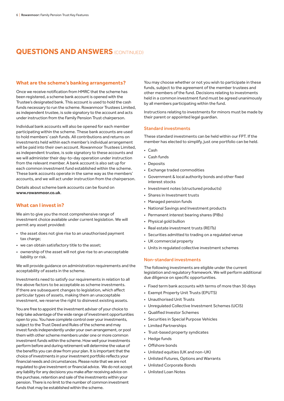#### **What are the scheme's banking arrangements?**

Once we receive notification from HMRC that the scheme has been registered, a scheme bank account is opened with the Trustee's designated bank. This account is used to hold the cash funds necessary to run the scheme. Rowanmoor Trustees Limited, as independent trustee, is sole signatory to the account and acts under instruction from the Family Pension Trust chairperson.

Individual bank accounts will also be opened for each member participating within the scheme. These bank accounts are used to hold members' cash funds. All contributions and returns on investments held within each member's individual arrangement will be paid into their own account. Rowanmoor Trustees Limited, as independent trustee, is sole signatory to these accounts and we will administer their day-to-day operation under instruction from the relevant member. A bank account is also set up for each common investment fund established within the scheme. These bank accounts operate in the same way as the members' accounts, and we will act under instruction from the chairperson.

Details about scheme bank accounts can be found on **[www.rowanmoor.co.uk](http://www.rowanmoor.co.uk)**.

#### **What can I invest in?**

We aim to give you the most comprehensive range of investment choice available under current legislation. We will permit any asset provided:

- the asset does not give rise to an unauthorised payment tax charge:
- we can obtain satisfactory title to the asset;
- ownership of the asset will not give rise to an unacceptable liability or risk.

We will provide guidance on administration requirements and the acceptability of assets in the scheme.

Investments need to satisfy our requirements in relation to all the above factors to be acceptable as scheme investments. If there are subsequent changes to legislation, which affect particular types of assets, making them an unacceptable investment, we reserve the right to disinvest existing assets.

You are free to appoint the investment adviser of your choice to help take advantage of the wide range of investment opportunities open to you. You have complete control over your investments, subject to the Trust Deed and Rules of the scheme and may invest funds independently under your own arrangement, or pool them with other scheme members under one or more common investment funds within the scheme. How well your investments perform before and during retirement will determine the value of the benefits you can draw from your plan. It is important that the choice of investments in your investment portfolio reflects your financial needs and circumstances. Please note that we are not regulated to give investment or financial advice. We do not accept any liability for any decisions you make after receiving advice on the purchase, retention and sale of the investments within your pension. There is no limit to the number of common investment funds that may be established within the scheme.

You may choose whether or not you wish to participate in these funds, subject to the agreement of the member trustees and other members of the fund. Decisions relating to investments held in a common investment fund must be agreed unanimously by all members participating within the fund.

Instructions relating to investments for minors must be made by their parent or appointed legal guardian.

#### Standard investments

These standard investments can be held within our FPT. If the member has elected to simplify, just one portfolio can be held.

- Cash
- Cash funds
- Deposits
- Exchange traded commodities
- Government & local authority bonds and other fixed interest stocks
- Investment notes (structured products)
- Shares in Investment trusts
- Managed pension funds
- National Savings and Investment products
- Permanent interest bearing shares (PIBs)
- Physical gold bullion
- Real estate investment trusts (REITs)
- Securities admitted to trading on a regulated venue
- UK commercial property
- Units in regulated collective investment schemes

#### Non-standard investments

The following investments are eligible under the current legislation and regulatory framework. We will perform additional due diligence on specific opportunities.

- Fixed term bank accounts with terms of more than 30 days
- Exempt Property Unit Trusts (EPUTS)
- Unauthorised Unit Trusts
- Unregulated Collective Investment Schemes (UCIS)
- Qualified Investor Schemes
- Securities in Special Purpose Vehicles
- Limited Partnerships
- Trust-based property syndicates
- Hedge funds
- Offshore bonds
- Unlisted equities (UK and non-UK)
- Unlisted Futures, Options and Warrants
- Unlisted Corporate Bonds
- Unlisted Loan Notes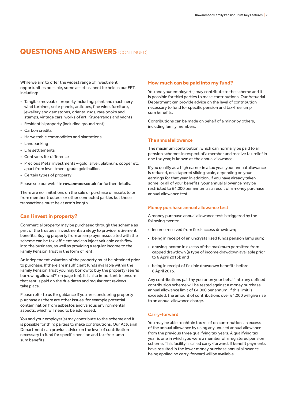While we aim to offer the widest range of investment opportunities possible, some assets cannot be held in our FPT. Including:

- Tangible moveable property including: plant and machinery, wind turbines, solar panels, antiques, fine wine, furniture, jewellery and gemstones, oriental rugs, rare books and stamps, vintage cars, works of art, Krugerrands and yachts
- Residential property (including ground rent)
- Carbon credits
- Harvestable commodities and plantations
- Landbanking
- Life settlements
- Contracts for difference
- Precious Metal investments gold, silver, platinum, copper etc apart from investment grade gold bullion
- Certain types of property

Please see our website **[rowanmoor.co.uk](http://www.rowanmoor.co.uk)** for further details.

There are no limitations on the sale or purchase of assets to or from member trustees or other connected parties but these transactions must be at arm's length.

#### **Can I invest in property?**

Commercial property may be purchased through the scheme as part of the trustees' investment strategy to provide retirement benefits. Buying property from an employer associated with the scheme can be tax-efficient and can inject valuable cash flow into the business, as well as providing a regular income to the Family Pension Trust in the form of rent.

An independent valuation of the property must be obtained prior to purchase. If there are insufficient funds available within the Family Pension Trust you may borrow to buy the property (see 'is borrowing allowed?' on page ten). It is also important to ensure that rent is paid on the due dates and regular rent reviews take place.

Please refer to us for guidance if you are considering property purchase as there are other issues, for example potential contamination from asbestos and various environmental aspects, which will need to be addressed.

You and your employer(s) may contribute to the scheme and it is possible for third parties to make contributions. Our Actuarial Department can provide advice on the level of contribution necessary to fund for specific pension and tax-free lump sum benefits.

#### **How much can be paid into my fund?**

You and your employer(s) may contribute to the scheme and it is possible for third parties to make contributions. Our Actuarial Department can provide advice on the level of contribution necessary to fund for specific pension and tax-free lump sum benefits.

Contributions can be made on behalf of a minor by others, including family members.

#### The annual allowance

The maximum contribution, which can normally be paid to all pension schemes in respect of a member and receive tax relief in one tax year, is known as the annual allowance.

If you qualify as a high earner in a tax year, your annual allowance is reduced, on a tapered sliding scale, depending on your earnings for that year. In addition, if you have already taken some, or all of your benefits, your annual allowance may be restricted to £4,000 per annum as a result of a money purchase annual allowance test.

#### Money purchase annual allowance test

A money purchase annual allowance test is triggered by the following events:

- income received from flexi-access drawdown;
- being in receipt of an uncrystallised funds pension lump sum;
- drawing income in excess of the maximum permitted from capped drawdown (a type of income drawdown available prior to 6 April 2015); and
- being in receipt of flexible drawdown benefits before 6 April 2015.

Any contributions paid by you or on your behalf into any defined contribution scheme will be tested against a money purchase annual allowance limit of £4,000 per annum. If this limit is exceeded, the amount of contributions over £4,000 will give rise to an annual allowance charge.

#### Carry-forward

You may be able to obtain tax relief on contributions in excess of the annual allowance by using any unused annual allowance from the previous three qualifying tax years. A qualifying tax year is one in which you were a member of a registered pension scheme. This facility is called carry-forward. If benefit payments have resulted in the lower money purchase annual allowance being applied no carry-forward will be available.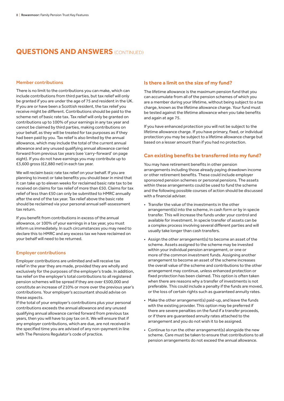#### Member contributions

There is no limit to the contributions you can make, which can include contributions from third parties, but tax relief will only be granted if you are under the age of 75 and resident in the UK. If you are or have been a Scottish resident, the tax relief you receive might be different. Contributions should be paid to the scheme net of basic rate tax. Tax relief will only be granted on contributions up to 100% of your earnings in any tax year and cannot be claimed by third parties, making contributions on your behalf, as they will be treated for tax purposes as if they had been paid by you. Tax relief is also limited by the annual allowance, which may include the total of the current annual allowance and any unused qualifying annual allowance carried forward from previous tax years (see 'carry-forward' on page eight). If you do not have earnings you may contribute up to £3,600 gross (£2,880 net) in each tax year.

We will reclaim basic rate tax relief on your behalf. If you are planning to invest or take benefits you should bear in mind that it can take up to eleven weeks for reclaimed basic rate tax to be received on claims for tax relief of more than £50. Claims for tax relief of less than £50 can only be submitted to HMRC annually after the end of the tax year. Tax relief above the basic rate should be reclaimed via your personal annual self-assessment tax return.

If you benefit from contributions in excess of the annual allowance, or 100% of your earnings in a tax year, you must inform us immediately. In such circumstances you may need to declare this to HMRC and any excess tax we have reclaimed on your behalf will need to be returned.

#### Employer contributions

Employer contributions are unlimited and will receive tax relief in the year they are made, provided they are wholly and exclusively for the purposes of the employer's trade. In addition, tax relief on the employer's total contributions to all registered pension schemes will be spread if they are over £500,000 and constitute an increase of 210% or more over the previous year's contributions. Your employer's accountant should advise on these aspects.

If the total of your employer's contributions plus your personal contributions exceeds the annual allowance and any unused qualifying annual allowance carried forward from previous tax years, then you will have to pay tax on it. We will ensure that if any employer contributions, which are due, are not received in the specified time you are advised of any non-payment in line with The Pensions Regulator's code of practice.

#### **Is there a limit on the size of my fund?**

The lifetime allowance is the maximum pension fund that you can accumulate from all of the pension schemes of which you are a member during your lifetime, without being subject to a tax charge, known as the lifetime allowance charge. Your fund must be tested against the lifetime allowance when you take benefits and again at age 75.

If you have enhanced protection you will not be subject to the lifetime allowance charge. If you have primary, fixed, or individual protection you may be subject to a lifetime allowance charge but based on a lesser amount than if you had no protection.

#### **Can existing benefits be transferred into my fund?**

You may have retirement benefits in other pension arrangements including those already paying drawdown income or other retirement benefits. These could include employer sponsored pension schemes or personal pensions. The assets within these arrangements could be used to fund the scheme and the following possible courses of action should be discussed with a financial adviser.

- Transfer the value of the investments in the other arrangement(s) into the scheme, in cash form or by in specie transfer. This will increase the funds under your control and available for investment. In specie transfer of assets can be a complex process involving several different parties and will usually take longer than cash transfers.
- Assign the other arrangement(s) to become an asset of the scheme. Assets assigned to the scheme may be invested within your individual pension arrangement, or one or more of the common investment funds. Assigning another arrangement to become an asset of the scheme increases the overall value of the scheme and contributions to the other arrangement may continue, unless enhanced protection or fixed protection has been claimed. This option is often taken when there are reasons why a transfer of investments is not preferable. This could include a penalty if the funds are moved, or the loss of certain rights such as guaranteed annuity rates.
- Make the other arrangement(s) paid-up, and leave the funds with the existing provider. This option may be preferred if there are severe penalties on the fund if a transfer proceeds, or if there are guaranteed annuity rates attached to the arrangement and you do not wish it to be assigned.
- Continue to run the other arrangement(s) alongside the new scheme. Care must be taken to ensure that contributions to all pension arrangements do not exceed the annual allowance.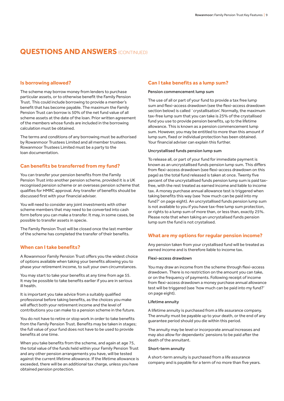#### **Is borrowing allowed?**

The scheme may borrow money from lenders to purchase particular assets, or to otherwise benefit the Family Pension Trust. This could include borrowing to provide a member's benefit that has become payable. The maximum the Family Pension Trust can borrow is 50% of the net fund value of all scheme assets at the date of the loan. Prior written agreement of the members whose funds are included in the borrowing calculation must be obtained.

The terms and conditions of any borrowing must be authorised by Rowanmoor Trustees Limited and all member trustees. Rowanmoor Trustees Limited must be a party to the loan documentation.

#### **Can benefits be transferred from my fund?**

You can transfer your pension benefits from the Family Pension Trust into another pension scheme, provided it is a UK recognised pension scheme or an overseas pension scheme that qualifies for HMRC approval. Any transfer of benefits should be discussed first with your financial adviser.

You will need to consider any joint investments with other scheme members that may need to be converted into cash form before you can make a transfer. It may, in some cases, be possible to transfer assets in specie.

The Family Pension Trust will be closed once the last member of the scheme has completed the transfer of their benefits.

#### **When can I take benefits?**

A Rowanmoor Family Pension Trust offers you the widest choice of options available when taking your benefits allowing you to phase your retirement income, to suit your own circumstances.

You may start to take your benefits at any time from age 55. It may be possible to take benefits earlier if you are in serious ill health.

It is important you take advice from a suitably qualified professional before taking benefits, as the choices you make will affect both your retirement income and the level of contributions you can make to a pension scheme in the future.

You do not have to retire or stop work in order to take benefits from the Family Pension Trust. Benefits may be taken in stages; the full value of your fund does not have to be used to provide benefits at one time.

When you take benefits from the scheme, and again at age 75, the total value of the funds held within your Family Pension Trust and any other pension arrangements you have, will be tested against the current lifetime allowance. If the lifetime allowance is exceeded, there will be an additional tax charge, unless you have obtained pension protection.

#### **Can I take benefits as a lump sum?**

#### Pension commencement lump sum

The use of all or part of your fund to provide a tax free lump sum and flexi-access drawdown (see the flexi-access drawdown section below) is called `crystallisation'. Normally, the maximum tax-free lump sum that you can take is 25% of the crystallised fund you use to provide pension benefits, up to the lifetime allowance. This is known as a pension commencement lump sum. However, you may be entitled to more than this amount if lump sum, fixed or individual protection has been obtained. Your financial adviser can explain this further.

#### Uncrystallised funds pension lump sum

To release all, or part of your fund for immediate payment is known as an uncrystallised funds pension lump sum. This differs from flexi-access drawdown (see flexi-access drawdown on this page) as the total fund released is taken at once. Twenty five percent of the uncrystallised funds pension lump sum is paid taxfree, with the rest treated as earned income and liable to income tax. A money purchase annual allowance test is triggered when taking benefits this way (see 'how much can be paid into my fund?' on page eight). An uncrystallised funds pension lump sum is not available to you if you have tax-free lump sum protection, or rights to a lump sum of more than, or less than, exactly 25%. Please note that when taking an uncrystalised funds pension lump sum the fund is not crystalised.

#### **What are my options for regular pension income?**

Any pension taken from your crystallised fund will be treated as earned income and is therefore liable to income tax.

#### Flexi-access drawdown

You may draw an income from the scheme through flexi-access drawdown. There is no restriction on the amount you can take, or on the frequency of payments. Following receipt of income from flexi-access drawdown a money purchase annual allowance test will be triggered (see 'how much can be paid into my fund?' on page eight).

#### Lifetime annuity

A lifetime annuity is purchased from a life assurance company. The annuity must be payable up to your death, or the end of any guarantee period should you die within this period.

The annuity may be level or incorporate annual increases and may also allow for dependants' pensions to be paid after the death of the annuitant.

#### Short-term annuity

A short-term annuity is purchased from a life assurance company and is payable for a term of no more than five years.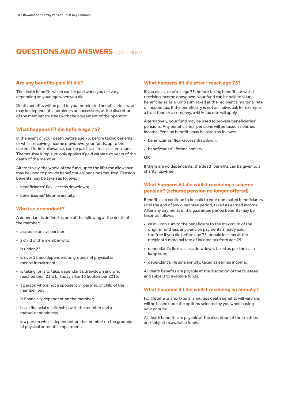#### **Are any benefits paid if I die?**

The death benefits which can be paid when you die vary, depending on your age when you die.

Death benefits will be paid to your nominated beneficiaries, who may be dependants, nominees or successors, at the discretion of the member trustees with the agreement of the operator.

#### **What happens if I die before age 75?**

In the event of your death before age 75, before taking benefits or whilst receiving income drawdown, your funds, up to the current lifetime allowance, can be paid, tax-free as a lump sum. The tax-free lump sum only applies if paid within two years of the death of the member.

Alternatively, the whole of the fund, up to the lifetime allowance, may be used to provide beneficiaries' pensions tax-free. Pension benefits may be taken as follows:

- beneficiaries' flexi-access drawdown;
- beneficiaries' lifetime annuity.

#### **Who is a dependant?**

A dependant is defined as one of the following at the death of the member:

- a spouse or civil partner;
- a child of the member who;
- is under 23;
- is over 23 and dependent on grounds of physical or mental impairment;
- is taking, or is to take, dependant's drawdown and who reached their 23rd birthday after 15 September 2016;
- a person who is not a spouse, civil partner, or child of the member, but
- is financially dependent on the member;
- has a financial relationship with the member and a mutual dependency;
- is a person who is dependent on the member on the grounds of physical or mental impairment.

#### **What happens if I die after I reach age 75?**

If you die at, or after, age 75, before taking benefits or whilst receiving income drawdown, your fund can be paid to your beneficiaries as a lump sum taxed at the recipient's marginal rate of income tax. If the beneficiary is not an individual, for example a trust fund or a company, a 45% tax rate will apply.

Alternatively, your fund may be used to provide beneficiaries' pensions. Any beneficiaries' pensions will be taxed as earned income. Pension benefits may be taken as follows:

- beneficiaries' flexi-access drawdown;
- beneficiaries' lifetime annuity.
- OR

If there are no dependants, the death benefits can be given to a charity, tax-free.

#### **What happens if I die whilst receiving a scheme pension? (scheme pension no longer offered)**

Benefits can continue to be paid to your nominated beneficiaries until the end of any guarantee period, taxed as earned income. After any payments in the guarantee period benefits may be taken as follows:

- cash lump sum to the beneficiary to the maximum of the original fund less any pension payments already paid, tax-free if you die before age 75, or paid less tax at the recipient's marginal rate of income tax from age 75;
- dependant's flexi-access drawdown, taxed as per the cash lump sum;
- dependant's lifetime annuity, taxed as earned income.

All death benefits are payable at the discretion of the trustees and subject to available funds.

#### **What happens if I die whilst receiving an annuity?**

For lifetime or short-term annuities death benefits will vary and will be based upon the options selected by you when buying your annuity.

All death benefits are payable at the discretion of the trustees and subject to available funds.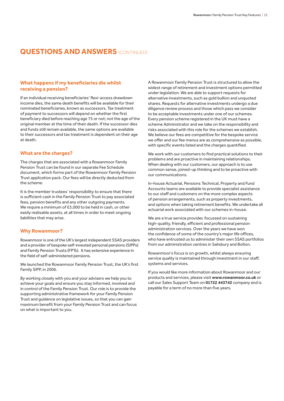#### **What happens if my beneficiaries die whilst receiving a pension?**

If an individual receiving beneficiaries' flexi-access drawdown income dies, the same death benefits will be available for their nominated beneficiaries, known as successors. Tax treatment of payment to successors will depend on whether the first beneficiary died before reaching age 75 or not; not the age of the original member at the time of their death. If the successor dies and funds still remain available, the same options are available to their successors and tax treatment is dependent on their age at death.

#### **What are the charges?**

The charges that are associated with a Rowanmoor Family Pension Trust can be found in our separate Fee Schedule document, which forms part of the Rowanmoor Family Pension Trust application pack. Our fees will be directly deducted from the scheme.

It is the member trustees' responsibility to ensure that there is sufficient cash in the Family Pension Trust to pay associated fees, pension benefits and any other outgoing payments. We require a minimum of £3,000 to be held in cash, or other easily realisable assets, at all times in order to meet ongoing liabilities that may arise.

#### **Why Rowanmoor?**

Rowanmoor is one of the UK's largest independent SSAS providers and a provider of bespoke self-invested personal pensions (SIPPs) and Family Pension Trusts (FPTs). It has extensive experience in the field of self-administered pensions.

We launched the Rowanmoor Family Pension Trust, the UK's first Family SIPP, in 2006.

By working closely with you and your advisers we help you to achieve your goals and ensure you stay informed, involved and in control of the Family Pension Trust. Our role is to provide the supporting administrative framework for your Family Pension Trust and guidance on legislative issues, so that you can gain maximum benefit from your Family Pension Trust and can focus on what is important to you.

A Rowanmoor Family Pension Trust is structured to allow the widest range of retirement and investment options permitted under legislation. We are able to support requests for alternative investments, such as gold bullion and unquoted shares. Requests for alternative investments undergo a due diligence review process and those which pass we consider to be acceptable investments under one of our schemes. Every pension scheme registered in the UK must have a scheme Administrator and we take on the responsibility and risks associated with this role for the schemes we establish. We believe our fees are competitive for the bespoke service we offer and our fee menus are as comprehensive as possible, with specific events listed and the charges quantified.

We work with our customers to find practical solutions to their problems and are proactive in maintaining relationships. When dealing with our customers, our approach is to use common sense, joined-up thinking and to be proactive with our communications.

In-house Actuarial, Pensions Technical, Property and Fund Accounts teams are available to provide specialist assistance to our staff and customers on the more complex aspects of pension arrangements, such as property investments, and options when taking retirement benefits. We undertake all actuarial work associated with our schemes in-house.

We are a true service provider, focussed on sustaining high-quality, friendly, efficient and professional pension administration services. Over the years we have won the confidence of some of the country's major life offices, who have entrusted us to administer their own SSAS portfolios from our administration centres in Salisbury and Bolton.

Rowanmoor's focus is on growth, whilst always ensuring service quality is maintained through investment in our staff, systems and services.

If you would like more information about Rowanmoor and our products and services, please visit **[www.rowanmoor.co.uk](http://www.rowanmoor.co.uk)** or call our Sales Support Team on **01722 443742** company and is payable for a term of no more than five years.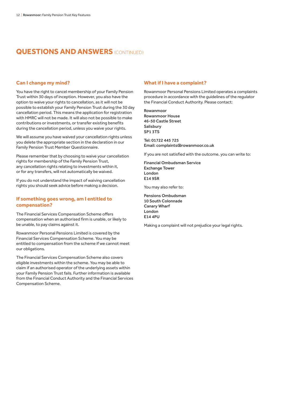#### **Can I change my mind?**

You have the right to cancel membership of your Family Pension Trust within 30 days of inception. However, you also have the option to waive your rights to cancellation, as it will not be possible to establish your Family Pension Trust during the 30 day cancellation period. This means the application for registration with HMRC will not be made. It will also not be possible to make contributions or investments, or transfer existing benefits during the cancellation period, unless you waive your rights.

We will assume you have waived your cancellation rights unless you delete the appropriate section in the declaration in our Family Pension Trust Member Questionnaire.

Please remember that by choosing to waive your cancellation rights for membership of the Family Pension Trust, any cancellation rights relating to investments within it, or for any transfers, will not automatically be waived.

If you do not understand the impact of waiving cancellation rights you should seek advice before making a decision.

#### **If something goes wrong, am I entitled to compensation?**

The Financial Services Compensation Scheme offers compensation when an authorised firm is unable, or likely to be unable, to pay claims against it.

Rowanmoor Personal Pensions Limited is covered by the Financial Services Compensation Scheme. You may be entitled to compensation from the scheme if we cannot meet our obligations.

The Financial Services Compensation Scheme also covers eligible investments within the scheme. You may be able to claim if an authorised operator of the underlying assets within your Family Pension Trust fails. Further information is available from the Financial Conduct Authority and the Financial Services Compensation Scheme.

#### **What if I have a complaint?**

Rowanmoor Personal Pensions Limited operates a complaints procedure in accordance with the guidelines of the regulator the Financial Conduct Authority. Please contact:

Rowanmoor Rowanmoor House 46-50 Castle Street **Salisbury** SP1 3TS

Tel: 01722 445 725 Email: [complaints@rowanmoor.co.uk](mailto:complaints%40rowanmoor.co.uk?subject=)

If you are not satisfied with the outcome, you can write to:

Financial Ombudsman Service Exchange Tower London E14 9SR

You may also refer to:

Pensions Ombudsman 10 South Colonnade Canary Wharf London E14 4PU

Making a complaint will not prejudice your legal rights.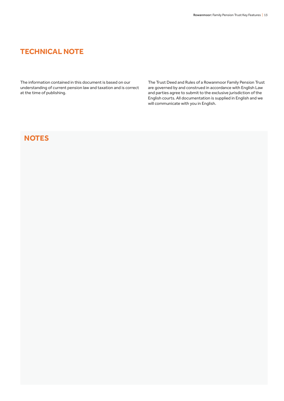# **TECHNICAL NOTE**

The information contained in this document is based on our understanding of current pension law and taxation and is correct at the time of publishing.

The Trust Deed and Rules of a Rowanmoor Family Pension Trust are governed by and construed in accordance with English Law and parties agree to submit to the exclusive jurisdiction of the English courts. All documentation is supplied in English and we will communicate with you in English.

# **NOTES**